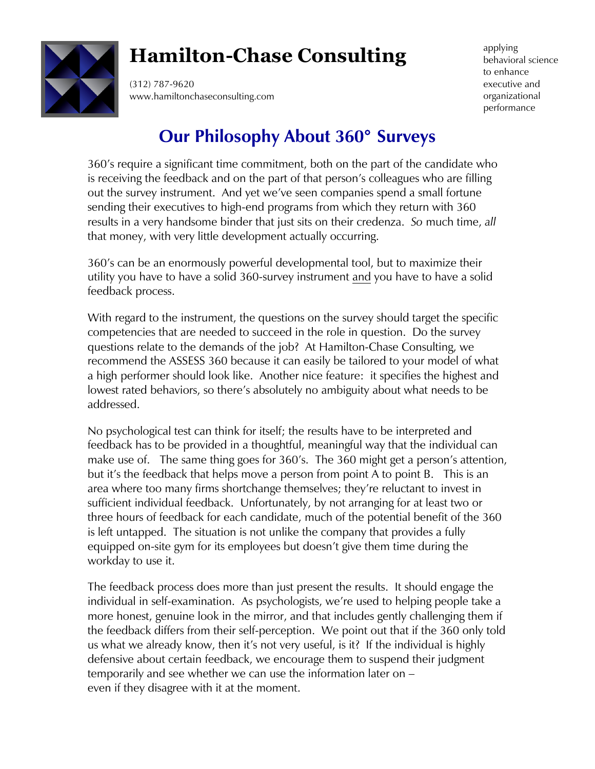

# **Hamilton-Chase Consulting**

(312) 787-9620 www.hamiltonchaseconsulting.com applying behavioral science to enhance executive and organizational performance

## **Our Philosophy About 360**° **Surveys**

360's require a significant time commitment, both on the part of the candidate who is receiving the feedback and on the part of that person's colleagues who are filling out the survey instrument. And yet we've seen companies spend a small fortune sending their executives to high-end programs from which they return with 360 results in a very handsome binder that just sits on their credenza. *So* much time, *all* that money, with very little development actually occurring.

360's can be an enormously powerful developmental tool, but to maximize their utility you have to have a solid 360-survey instrument and you have to have a solid feedback process.

With regard to the instrument, the questions on the survey should target the specific competencies that are needed to succeed in the role in question. Do the survey questions relate to the demands of the job? At Hamilton-Chase Consulting, we recommend the ASSESS 360 because it can easily be tailored to your model of what a high performer should look like. Another nice feature: it specifies the highest and lowest rated behaviors, so there's absolutely no ambiguity about what needs to be addressed.

No psychological test can think for itself; the results have to be interpreted and feedback has to be provided in a thoughtful, meaningful way that the individual can make use of. The same thing goes for 360's. The 360 might get a person's attention, but it's the feedback that helps move a person from point A to point B. This is an area where too many firms shortchange themselves; they're reluctant to invest in sufficient individual feedback. Unfortunately, by not arranging for at least two or three hours of feedback for each candidate, much of the potential benefit of the 360 is left untapped. The situation is not unlike the company that provides a fully equipped on-site gym for its employees but doesn't give them time during the workday to use it.

The feedback process does more than just present the results. It should engage the individual in self-examination. As psychologists, we're used to helping people take a more honest, genuine look in the mirror, and that includes gently challenging them if the feedback differs from their self-perception. We point out that if the 360 only told us what we already know, then it's not very useful, is it? If the individual is highly defensive about certain feedback, we encourage them to suspend their judgment temporarily and see whether we can use the information later on – even if they disagree with it at the moment.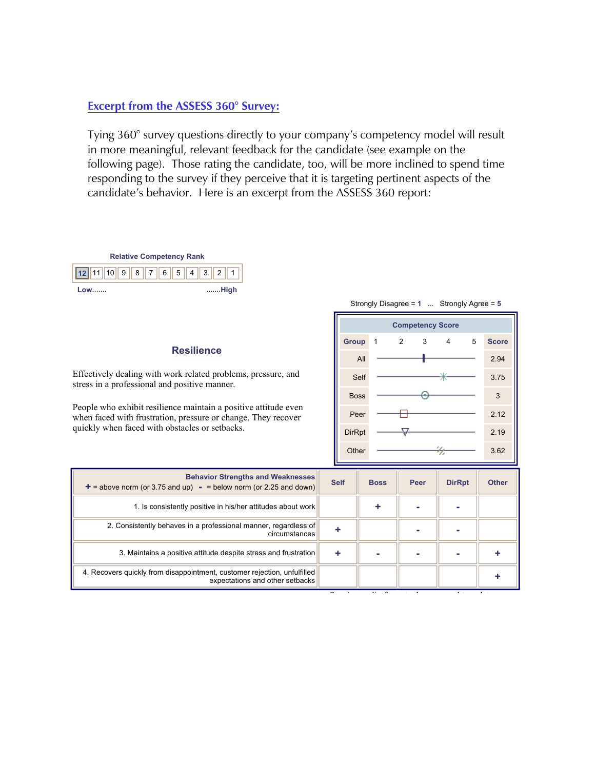#### **Excerpt from the ASSESS 360° Survey:**

Tying 360° survey questions directly to your company's competency model will result in more meaningful, relevant feedback for the candidate (see example on the following page). Those rating the candidate, too, will be more inclined to spend time responding to the survey if they perceive that it is targeting pertinent aspects of the candidate's behavior. Here is an excerpt from the ASSESS 360 report:

| Strongly Disagree = $1$ Strongly Agree = $5$<br><b>Competency Score</b><br>$\overline{2}$<br>3<br>5<br><b>Group</b><br><b>Resilience</b><br>All<br>Effectively dealing with work related problems, pressure, and | <b>Score</b><br>2.94<br>3.75 |
|------------------------------------------------------------------------------------------------------------------------------------------------------------------------------------------------------------------|------------------------------|
|                                                                                                                                                                                                                  |                              |
|                                                                                                                                                                                                                  |                              |
|                                                                                                                                                                                                                  |                              |
|                                                                                                                                                                                                                  |                              |
| Self<br>stress in a professional and positive manner.                                                                                                                                                            |                              |
| <b>Boss</b>                                                                                                                                                                                                      | 3                            |
| People who exhibit resilience maintain a positive attitude even<br>Peer<br>when faced with frustration, pressure or change. They recover                                                                         | 2.12                         |
| quickly when faced with obstacles or setbacks.<br><b>DirRpt</b>                                                                                                                                                  | 2.19                         |
| Other                                                                                                                                                                                                            | 3.62                         |
| <b>Behavior Strengths and Weaknesses</b>                                                                                                                                                                         |                              |
| <b>Self</b><br><b>DirRpt</b><br><b>Boss</b><br>Peer<br>$+$ = above norm (or 3.75 and up) - = below norm (or 2.25 and down)                                                                                       | <b>Other</b>                 |
| 1. Is consistently positive in his/her attitudes about work<br>٠                                                                                                                                                 |                              |
| 2. Consistently behaves in a professional manner, regardless of<br>÷<br>circumstances                                                                                                                            |                              |
| 3. Maintains a positive attitude despite stress and frustration<br>٠                                                                                                                                             |                              |
| 4. Recovers quickly from disappointment, customer rejection, unfulfilled<br>expectations and other setbacks                                                                                                      |                              |